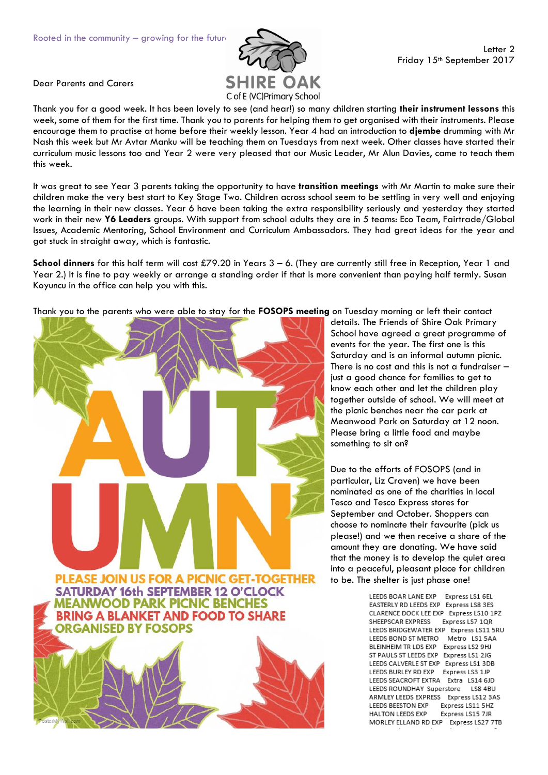

Dear Parents and Carers

Thank you for a good week. It has been lovely to see (and hear!) so many children starting **their instrument lessons** this week, some of them for the first time. Thank you to parents for helping them to get organised with their instruments. Please encourage them to practise at home before their weekly lesson. Year 4 had an introduction to **djembe** drumming with Mr Nash this week but Mr Avtar Manku will be teaching them on Tuesdays from next week. Other classes have started their curriculum music lessons too and Year 2 were very pleased that our Music Leader, Mr Alun Davies, came to teach them this week.

It was great to see Year 3 parents taking the opportunity to have **transition meetings** with Mr Martin to make sure their children make the very best start to Key Stage Two. Children across school seem to be settling in very well and enjoying the learning in their new classes. Year 6 have been taking the extra responsibility seriously and yesterday they started work in their new **Y6 Leaders** groups. With support from school adults they are in 5 teams: Eco Team, Fairtrade/Global Issues, Academic Mentoring, School Environment and Curriculum Ambassadors. They had great ideas for the year and got stuck in straight away, which is fantastic.

**School dinners** for this half term will cost £79.20 in Years 3 – 6. (They are currently still free in Reception, Year 1 and Year 2.) It is fine to pay weekly or arrange a standing order if that is more convenient than paying half termly. Susan Koyuncu in the office can help you with this.

Thank you to the parents who were able to stay for the **FOSOPS meeting** on Tuesday morning or left their contact



details. The Friends of Shire Oak Primary School have agreed a great programme of events for the year. The first one is this Saturday and is an informal autumn picnic. There is no cost and this is not a fundraiser – just a good chance for families to get to know each other and let the children play together outside of school. We will meet at the picnic benches near the car park at Meanwood Park on Saturday at 12 noon. Please bring a little food and maybe something to sit on?

Due to the efforts of FOSOPS (and in particular, Liz Craven) we have been nominated as one of the charities in local Tesco and Tesco Express stores for September and October. Shoppers can choose to nominate their favourite (pick us please!) and we then receive a share of the amount they are donating. We have said that the money is to develop the quiet area into a peaceful, pleasant place for children to be. The shelter is just phase one!

> LEEDS BOAR LANE EXP Express LS1 6EL EASTERLY RD LEEDS EXP Express LS8 3ES CLARENCE DOCK LEE EXP Express LS10 1PZ SHEEPSCAR EXPRESS Express LS7 1QR LEEDS BRIDGEWATER EXP Express LS11 5RU LEEDS BOND ST METRO Metro LS1 5AA BLEINHEIM TR LDS EXP Express LS2 9HJ ST PAULS ST LEEDS EXP Express LS1 2JG LEEDS CALVERLE ST EXP Express LS1 3DB LEEDS BURLEY RD EXP Express LS3 1JP LEEDS SEACROFT EXTRA Extra LS14 6JD LEEDS ROUNDHAY Superstore LS8 4BU ARMLEY LEEDS EXPRESS Express LS12 3AS LEEDS BEESTON EXP Express LS11 5HZ HALTON LEEDS EXP Express LS15 7JR MORLEY ELLAND RD EXP Express LS27 7TB